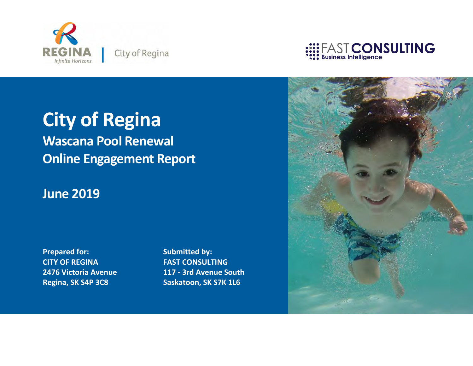



## **City of Regina**

**Wascana Pool Renewal Online Engagement Report**

**June 2019**

**Prepared for: CITY OF REGINA 2476 Victoria Avenue Regina, SK S4P 3C8**

**Submitted by: FAST CONSULTING 117 - 3rd Avenue South Saskatoon, SK S7K 1L6**

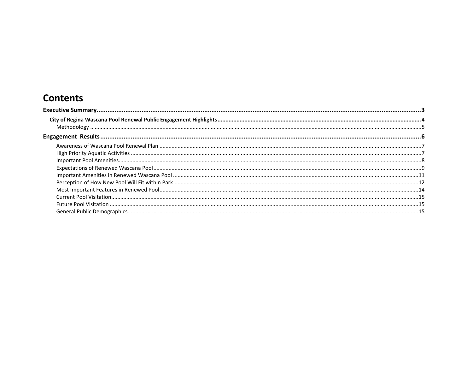## **Contents**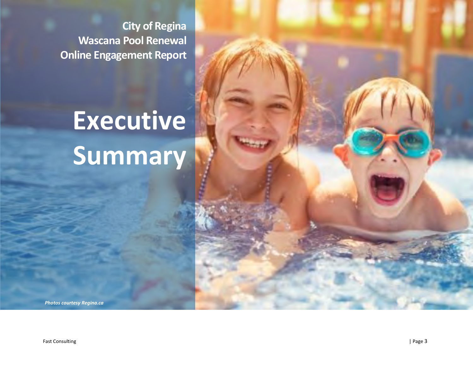**City of Regina Wascana Pool Renewal Online Engagement Report**

## **Executive Summary**

*Photos courtesy Regina.ca*

City of Regina | Wascana Pool Renewal Online Engagement Report | June 2019 | **EXECUTIVE SUMMARY**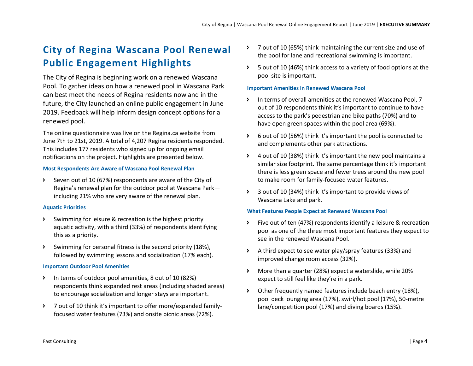## <span id="page-3-0"></span>**City of Regina Wascana Pool Renewal Public Engagement Highlights**

The City of Regina is beginning work on a renewed Wascana Pool. To gather ideas on how a renewed pool in Wascana Park can best meet the needs of Regina residents now and in the future, the City launched an online public engagement in June 2019. Feedback will help inform design concept options for a renewed pool.

The online questionnaire was live on the Regina.ca website from June 7th to 21st, 2019. A total of 4,207 Regina residents responded. This includes 177 residents who signed up for ongoing email notifications on the project. Highlights are presented below.

#### **Most Respondents Are Aware of Wascana Pool Renewal Plan**

Seven out of 10 (67%) respondents are aware of the City of Regina's renewal plan for the outdoor pool at Wascana Park including 21% who are very aware of the renewal plan.

#### **Aquatic Priorities**

- Swimming for leisure & recreation is the highest priority aquatic activity, with a third (33%) of respondents identifying this as a priority.
- Swimming for personal fitness is the second priority (18%), followed by swimming lessons and socialization (17% each).

#### **Important Outdoor Pool Amenities**

- In terms of outdoor pool amenities, 8 out of 10 (82%) respondents think expanded rest areas (including shaded areas) to encourage socialization and longer stays are important.
- 7 out of 10 think it's important to offer more/expanded familyfocused water features (73%) and onsite picnic areas (72%).
- 7 out of 10 (65%) think maintaining the current size and use of the pool for lane and recreational swimming is important.
- 5 out of 10 (46%) think access to a variety of food options at the pool site is important.

#### **Important Amenities in Renewed Wascana Pool**

- In terms of overall amenities at the renewed Wascana Pool, 7 out of 10 respondents think it's important to continue to have access to the park's pedestrian and bike paths (70%) and to have open green spaces within the pool area (69%).
- 6 out of 10 (56%) think it's important the pool is connected to and complements other park attractions.
- 4 out of 10 (38%) think it's important the new pool maintains a similar size footprint. The same percentage think it's important there is less green space and fewer trees around the new pool to make room for family-focused water features.
- 3 out of 10 (34%) think it's important to provide views of Wascana Lake and park.

#### **What Features People Expect at Renewed Wascana Pool**

- Five out of ten (47%) respondents identify a leisure & recreation pool as one of the three most important features they expect to see in the renewed Wascana Pool.
- A third expect to see water play/spray features (33%) and improved change room access (32%).
- More than a quarter (28%) expect a waterslide, while 20% expect to still feel like they're in a park.
- Other frequently named features include beach entry (18%), pool deck lounging area (17%), swirl/hot pool (17%), 50-metre lane/competition pool (17%) and diving boards (15%).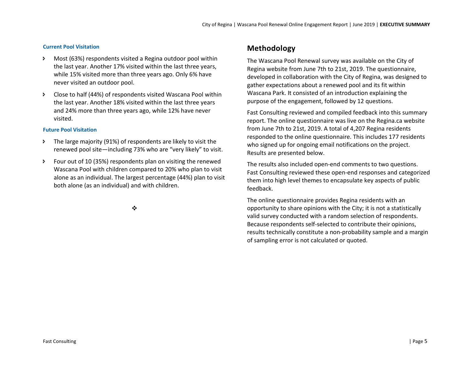#### **Current Pool Visitation**

- Most (63%) respondents visited a Regina outdoor pool within the last year. Another 17% visited within the last three years, while 15% visited more than three years ago. Only 6% have never visited an outdoor pool.
- Close to half (44%) of respondents visited Wascana Pool within the last year. Another 18% visited within the last three years and 24% more than three years ago, while 12% have never visited.

#### **Future Pool Visitation**

- The large majority (91%) of respondents are likely to visit the renewed pool site—including 73% who are "very likely" to visit.
- Four out of 10 (35%) respondents plan on visiting the renewed Wascana Pool with children compared to 20% who plan to visit alone as an individual. The largest percentage (44%) plan to visit both alone (as an individual) and with children.

❖

#### <span id="page-4-0"></span>**Methodology**

The Wascana Pool Renewal survey was available on the City of Regina website from June 7th to 21st, 2019. The questionnaire, developed in collaboration with the City of Regina, was designed to gather expectations about a renewed pool and its fit within Wascana Park. It consisted of an introduction explaining the purpose of the engagement, followed by 12 questions.

Fast Consulting reviewed and compiled feedback into this summary report. The online questionnaire was live on the Regina.ca website from June 7th to 21st, 2019. A total of 4,207 Regina residents responded to the online questionnaire. This includes 177 residents who signed up for ongoing email notifications on the project. Results are presented below.

The results also included open-end comments to two questions. Fast Consulting reviewed these open-end responses and categorized them into high level themes to encapsulate key aspects of public feedback.

The online questionnaire provides Regina residents with an opportunity to share opinions with the City; it is not a statistically valid survey conducted with a random selection of respondents. Because respondents self-selected to contribute their opinions, results technically constitute a non-probability sample and a margin of sampling error is not calculated or quoted.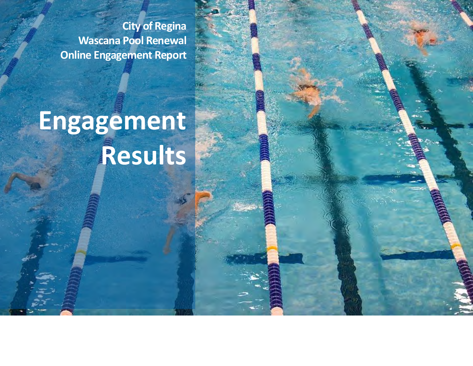**City of Regina Wascana Pool Renewal Online Engagement Report**

# **Engagement Results**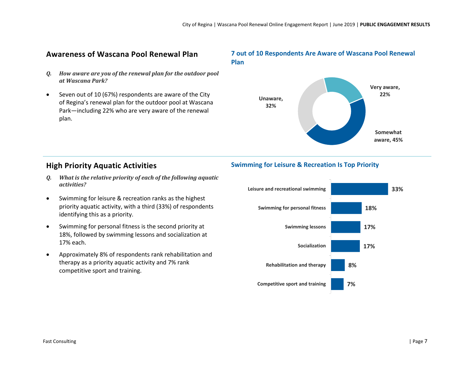- *Q. How aware are you of the renewal plan for the outdoor pool at Wascana Park?*
- Seven out of 10 (67%) respondents are aware of the City of Regina's renewal plan for the outdoor pool at Wascana Park—including 22% who are very aware of the renewal plan.

#### **Awareness of Wascana Pool Renewal Plan 7 out of 10 Respondents Are Aware of Wascana Pool Renewal Plan**



- *Q. What is the relative priority of each of the following aquatic activities?*
- Swimming for leisure & recreation ranks as the highest priority aquatic activity, with a third (33%) of respondents identifying this as a priority.
- Swimming for personal fitness is the second priority at 18%, followed by swimming lessons and socialization at 17% each.
- Approximately 8% of respondents rank rehabilitation and therapy as a priority aquatic activity and 7% rank competitive sport and training.

#### **High Priority Aquatic Activities Swimming for Leisure & Recreation Is Top Priority**

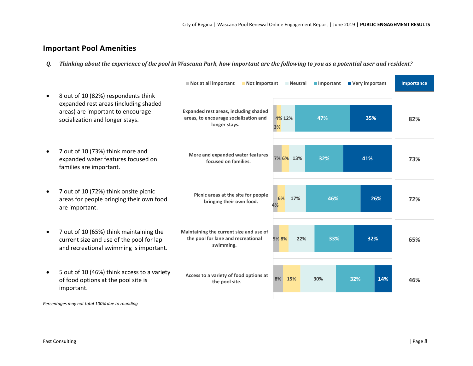### <span id="page-7-0"></span>**Important Pool Amenities**

*Q. Thinking about the experience of the pool in Wascana Park, how important are the following to you as a potential user and resident?*

|                                                                                                                                                      | Not at all important<br>Not important                                                           |              | <b>Neutral</b><br>$\blacksquare$ Important | Very important | <b>Importance</b> |
|------------------------------------------------------------------------------------------------------------------------------------------------------|-------------------------------------------------------------------------------------------------|--------------|--------------------------------------------|----------------|-------------------|
| 8 out of 10 (82%) respondents think<br>expanded rest areas (including shaded<br>areas) are important to encourage<br>socialization and longer stays. | Expanded rest areas, including shaded<br>areas, to encourage socialization and<br>longer stays. | 4% 12%<br>3% | 47%                                        | 35%            | 82%               |
| 7 out of 10 (73%) think more and<br>expanded water features focused on<br>families are important.                                                    | More and expanded water features<br>focused on families.                                        | 7% 6% 13%    | 32%                                        | 41%            | 73%               |
| 7 out of 10 (72%) think onsite picnic<br>areas for people bringing their own food<br>are important.                                                  | Picnic areas at the site for people<br>bringing their own food.                                 | 6%<br>4%     | 17%<br>46%                                 | 26%            | 72%               |
| 7 out of 10 (65%) think maintaining the<br>current size and use of the pool for lap<br>and recreational swimming is important.                       | Maintaining the current size and use of<br>the pool for lane and recreational<br>swimming.      | 5% 8%        | 22%<br>33%                                 | 32%            | 65%               |
| 5 out of 10 (46%) think access to a variety<br>of food options at the pool site is<br>important.                                                     | Access to a variety of food options at<br>the pool site.                                        | 8%<br>15%    | 30%                                        | 32%<br>14%     | 46%               |

*Percentages may not total 100% due to rounding*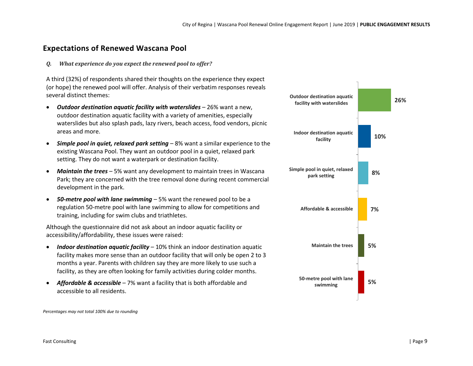#### <span id="page-8-0"></span>**Expectations of Renewed Wascana Pool**

*Q. What experience do you expect the renewed pool to offer?*

A third (32%) of respondents shared their thoughts on the experience they expect (or hope) the renewed pool will offer. Analysis of their verbatim responses reveals several distinct themes:

- *Outdoor destination aquatic facility with waterslides* 26% want a new, outdoor destination aquatic facility with a variety of amenities, especially waterslides but also splash pads, lazy rivers, beach access, food vendors, picnic areas and more.
- *Simple pool in quiet, relaxed park setting* 8% want a similar experience to the existing Wascana Pool. They want an outdoor pool in a quiet, relaxed park setting. They do not want a waterpark or destination facility.
- *Maintain the trees* 5% want any development to maintain trees in Wascana Park; they are concerned with the tree removal done during recent commercial development in the park.
- *50-metre pool with lane swimming* 5% want the renewed pool to be a regulation 50-metre pool with lane swimming to allow for competitions and training, including for swim clubs and triathletes.

Although the questionnaire did not ask about an indoor aquatic facility or accessibility/affordability, these issues were raised:

- *Indoor destination aquatic facility* 10% think an indoor destination aquatic facility makes more sense than an outdoor facility that will only be open 2 to 3 months a year. Parents with children say they are more likely to use such a facility, as they are often looking for family activities during colder months.
- *Affordable & accessible* 7% want a facility that is both affordable and accessible to all residents.



*Percentages may not total 100% due to rounding*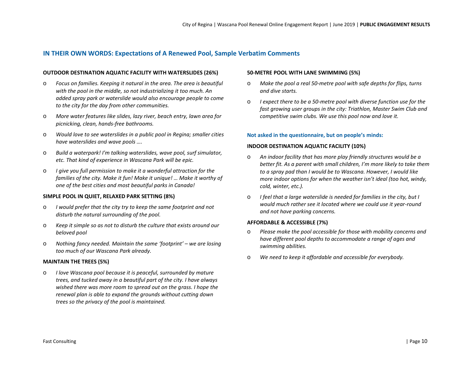#### **IN THEIR OWN WORDS: Expectations of A Renewed Pool, Sample Verbatim Comments**

#### **OUTDOOR DESTINATION AQUATIC FACILITY WITH WATERSLIDES (26%)**

- o *Focus on families. Keeping it natural in the area. The area is beautiful with the pool in the middle, so not industrializing it too much. An added spray park or waterslide would also encourage people to come to the city for the day from other communities.*
- o *More water features like slides, lazy river, beach entry, lawn area for picnicking, clean, hands-free bathrooms.*
- o *Would love to see waterslides in a public pool in Regina; smaller cities have waterslides and wave pools ….*
- o *Build a waterpark! I'm talking waterslides, wave pool, surf simulator, etc. That kind of experience in Wascana Park will be epic.*
- o *I give you full permission to make it a wonderful attraction for the families of the city. Make it fun! Make it unique! … Make it worthy of one of the best cities and most beautiful parks in Canada!*

#### **SIMPLE POOL IN QUIET, RELAXED PARK SETTING (8%)**

- o *I would prefer that the city try to keep the same footprint and not disturb the natural surrounding of the pool.*
- o *Keep it simple so as not to disturb the culture that exists around our beloved pool*
- o *Nothing fancy needed. Maintain the same 'footprint' – we are losing too much of our Wascana Park already.*

#### **MAINTAIN THE TREES (5%)**

o *I love Wascana pool because it is peaceful, surrounded by mature trees, and tucked away in a beautiful part of the city. I have always wished there was more room to spread out on the grass. I hope the renewal plan is able to expand the grounds without cutting down trees so the privacy of the pool is maintained.*

#### **50-METRE POOL WITH LANE SWIMMING (5%)**

- o *Make the pool a real 50-metre pool with safe depths for flips, turns and dive starts.*
- o *I expect there to be a 50-metre pool with diverse function use for the fast growing user groups in the city: Triathlon, Master Swim Club and competitive swim clubs. We use this pool now and love it.*

#### **Not asked in the questionnaire, but on people's minds:**

#### **INDOOR DESTINATION AQUATIC FACILITY (10%)**

- o *An indoor facility that has more play friendly structures would be a better fit. As a parent with small children, I'm more likely to take them to a spray pad than I would be to Wascana. However, I would like more indoor options for when the weather isn't ideal (too hot, windy, cold, winter, etc.).*
- o *I feel that a large waterslide is needed for families in the city, but I would much rather see it located where we could use it year-round and not have parking concerns.*

#### **AFFORDABLE & ACCESSIBLE (7%)**

- o *Please make the pool accessible for those with mobility concerns and have different pool depths to accommodate a range of ages and swimming abilities.*
- o *We need to keep it affordable and accessible for everybody.*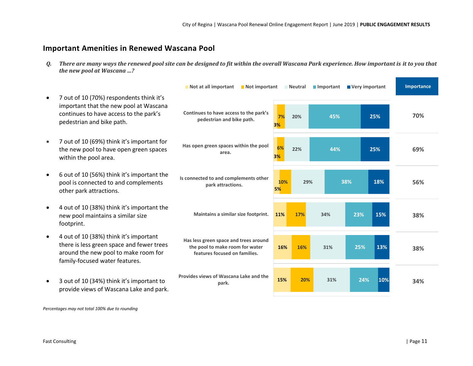#### <span id="page-10-0"></span>**Important Amenities in Renewed Wascana Pool**

*Q. There are many ways the renewed pool site can be designed to fit within the overall Wascana Park experience. How important is it to you that the new pool at Wascana …?*

|           |                                                                                                                                                               | Not at all important<br>Not important                                                                     |           | <b>Neutral</b> | $\blacksquare$ Important | Very important |     | Importance |
|-----------|---------------------------------------------------------------------------------------------------------------------------------------------------------------|-----------------------------------------------------------------------------------------------------------|-----------|----------------|--------------------------|----------------|-----|------------|
| $\bullet$ | 7 out of 10 (70%) respondents think it's<br>important that the new pool at Wascana<br>continues to have access to the park's<br>pedestrian and bike path.     | Continues to have access to the park's<br>pedestrian and bike path.                                       | 7%<br>3%  | 20%            | 45%                      |                | 25% | 70%        |
|           | 7 out of 10 (69%) think it's important for<br>the new pool to have open green spaces<br>within the pool area.                                                 | Has open green spaces within the pool<br>area.                                                            | 6%<br>3%  | 22%            | 44%                      |                | 25% | 69%        |
|           | 6 out of 10 (56%) think it's important the<br>pool is connected to and complements<br>other park attractions.                                                 | Is connected to and complements other<br>park attractions.                                                | 10%<br>5% | 29%            | 38%                      |                | 18% | 56%        |
|           | 4 out of 10 (38%) think it's important the<br>new pool maintains a similar size<br>footprint.                                                                 | Maintains a similar size footprint.                                                                       | 11%       | 17%            | 34%                      | 23%            | 15% | 38%        |
| $\bullet$ | 4 out of 10 (38%) think it's important<br>there is less green space and fewer trees<br>around the new pool to make room for<br>family-focused water features. | Has less green space and trees around<br>the pool to make room for water<br>features focused on families. | 16%       | 16%            | 31%                      | 25%            | 13% | 38%        |
|           | 3 out of 10 (34%) think it's important to<br>provide views of Wascana Lake and park.                                                                          | Provides views of Wascana Lake and the<br>park.                                                           | 15%       | 20%            | 31%                      | 24%            | 10% | 34%        |

*Percentages may not total 100% due to rounding*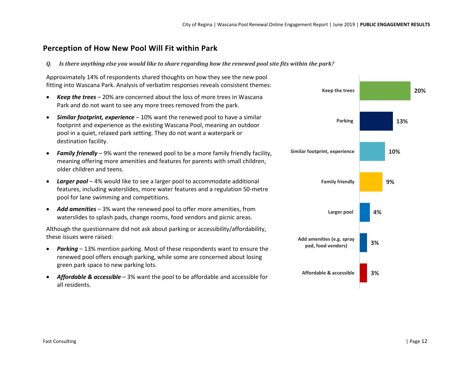#### <span id="page-11-0"></span>**Perception of How New Pool Will Fit within Park**

*Q. Is there anything else you would like to share regarding how the renewed pool site fits within the park?*



all residents.

**9%**

**10%**

**13%**

**20%**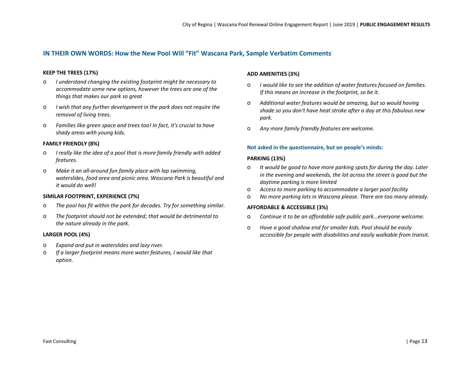#### **IN THEIR OWN WORDS: How the New Pool Will "Fit" Wascana Park, Sample Verbatim Comments**

#### **KEEP THE TREES (17%)**

- o *I understand changing the existing footprint might be necessary to accommodate some new options, however the trees are one of the things that makes our park so great*
- o *I wish that any further development in the park does not require the removal of living trees.*
- o *Families like green space and trees too! In fact, it's crucial to have shady areas with young kids.*

#### **FAMILY FRIENDLY (8%)**

- o *I really like the idea of a pool that is more family friendly with added features.*
- o *Make it an all-around fun family place with lap swimming, waterslides, food area and picnic area. Wascana Park is beautiful and it would do well!*

#### **SIMILAR FOOTPRINT, EXPERIENCE (7%)**

- o *The pool has fit within the park for decades. Try for something similar.*
- o *The footprint should not be extended; that would be detrimental to the nature already in the park.*

#### **LARGER POOL (4%)**

- o *Expand and put in waterslides and lazy river.*
- o *If a larger footprint means more water features, I would like that option.*

#### **ADD AMENITIES (3%)**

- o *I would like to see the addition of water features focused on families. If this means an increase in the footprint, so be it.*
- o *Additional water features would be amazing, but so would having shade so you don't have heat stroke after a day at this fabulous new park.*
- o *Any more family friendly features are welcome.*

#### **Not asked in the questionnaire, but on people's minds:**

#### **PARKING (13%)**

- o *It would be good to have more parking spots for during the day. Later in the evening and weekends, the lot across the street is good but the daytime parking is more limited*
- o *Access to more parking to accommodate a larger pool facility*
- o *No more parking lots in Wascana please. There are too many already.*

#### **AFFORDABLE & ACCESSIBLE (3%)**

- o *Continue it to be an affordable safe public park...everyone welcome.*
- o *Have a good shallow end for smaller kids. Pool should be easily accessible for people with disabilities and easily walkable from transit.*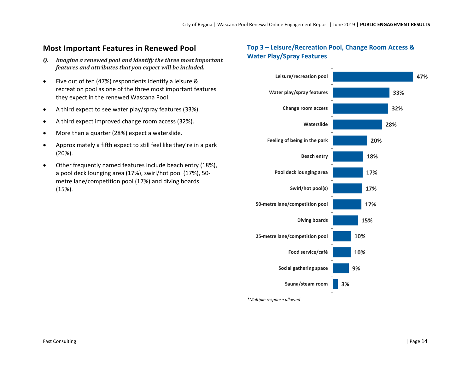#### <span id="page-13-0"></span>**Most Important Features in Renewed Pool**

- *Q. Imagine a renewed pool and identify the three most important features and attributes that you expect will be included.*
- Five out of ten (47%) respondents identify a leisure & recreation pool as one of the three most important features they expect in the renewed Wascana Pool.
- A third expect to see water play/spray features (33%).
- A third expect improved change room access (32%).
- More than a quarter (28%) expect a waterslide.
- Approximately a fifth expect to still feel like they're in a park (20%).
- Other frequently named features include beach entry (18%), a pool deck lounging area (17%), swirl/hot pool (17%), 50 metre lane/competition pool (17%) and diving boards (15%).

#### **Top 3 – Leisure/Recreation Pool, Change Room Access & Water Play/Spray Features**



*\*Multiple response allowed*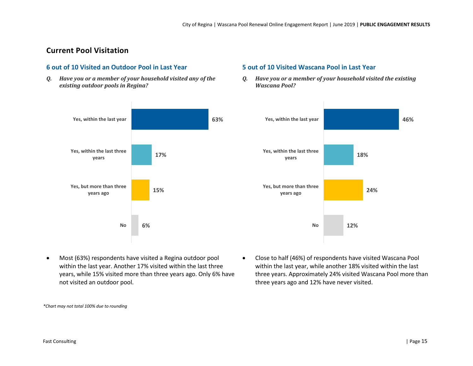### **Current Pool Visitation**

**Yes, within the last year**

**Yes, within the last three years**

**Yes, but more than three years ago**

#### **6 out of 10 Visited an Outdoor Pool in Last Year 5 out of 10 Visited Wascana Pool in Last Year**

*Q. Have you or a member of your household visited any of the existing outdoor pools in Regina?*

*Q. Have you or a member of your household visited the existing Wascana Pool?*



• Most (63%) respondents have visited a Regina outdoor pool within the last year. Another 17% visited within the last three years, while 15% visited more than three years ago. Only 6% have not visited an outdoor pool.

**6%**

**No**

**17%**

**15%**

• Close to half (46%) of respondents have visited Wascana Pool within the last year, while another 18% visited within the last three years. Approximately 24% visited Wascana Pool more than three years ago and 12% have never visited.

*\*Chart may not total 100% due to rounding*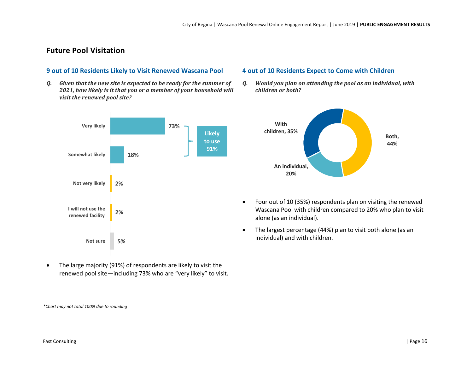#### **Future Pool Visitation**

#### **9 out of 10 Residents Likely to Visit Renewed Wascana Pool 4 out of 10 Residents Expect to Come with Children**

*Q. Given that the new site is expected to be ready for the summer of 2021, how likely is it that you or a member of your household will visit the renewed pool site?*



*Q. Would you plan on attending the pool as an individual, with children or both?*



- Four out of 10 (35%) respondents plan on visiting the renewed Wascana Pool with children compared to 20% who plan to visit alone (as an individual).
- The largest percentage (44%) plan to visit both alone (as an individual) and with children.
- The large majority (91%) of respondents are likely to visit the renewed pool site—including 73% who are "very likely" to visit.

*\*Chart may not total 100% due to rounding*